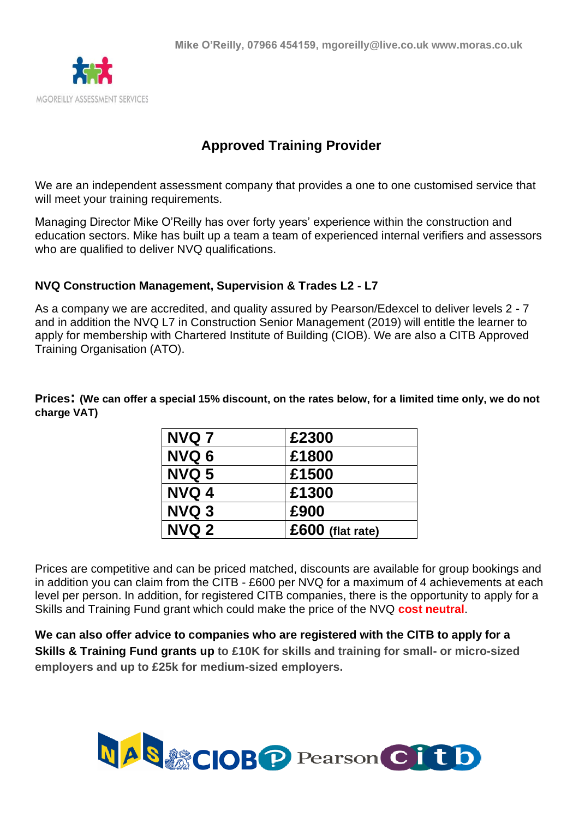

# **Approved Training Provider**

We are an independent assessment company that provides a one to one customised service that will meet your training requirements.

Managing Director Mike O'Reilly has over forty years' experience within the construction and education sectors. Mike has built up a team a team of experienced internal verifiers and assessors who are qualified to deliver NVQ qualifications.

## **NVQ Construction Management, Supervision & Trades L2 - L7**

As a company we are accredited, and quality assured by Pearson/Edexcel to deliver levels 2 - 7 and in addition the NVQ L7 in Construction Senior Management (2019) will entitle the learner to apply for membership with Chartered Institute of Building (CIOB). We are also a CITB Approved Training Organisation (ATO).

**Prices: (We can offer a special 15% discount, on the rates below, for a limited time only, we do not charge VAT)**

| NVQ 7        | £2300            |
|--------------|------------------|
| NVQ 6        | £1800            |
| <b>NVQ 5</b> | £1500            |
| NVQ 4        | £1300            |
| NVQ 3        | £900             |
| <b>NVQ 2</b> | £600 (flat rate) |

Prices are competitive and can be priced matched, discounts are available for group bookings and in addition you can claim from the CITB - £600 per NVQ for a maximum of 4 achievements at each level per person. In addition, for registered CITB companies, there is the opportunity to apply for a Skills and Training Fund grant which could make the price of the NVQ **cost neutral**.

**We can also offer advice to companies who are registered with the CITB to apply for a Skills & Training Fund grants up to £10K for skills and training for small- or micro-sized employers and up to £25k for medium-sized employers.**

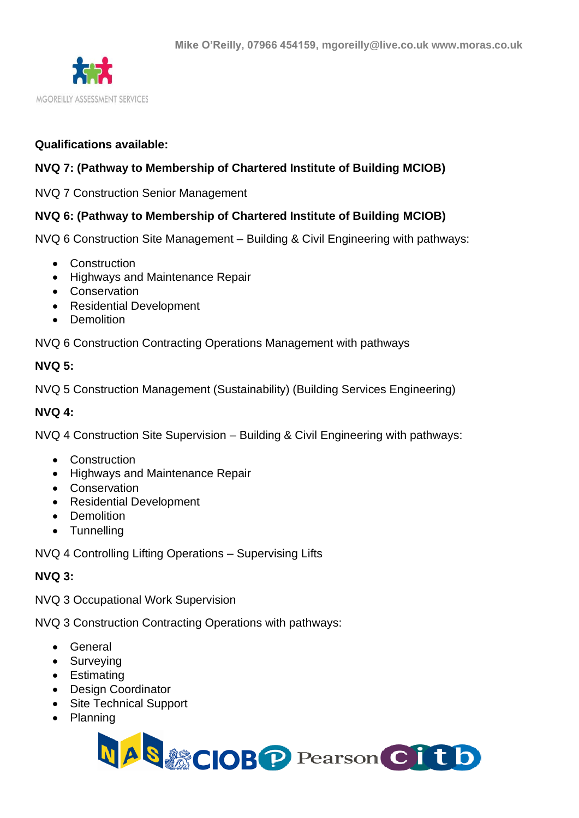

## **Qualifications available:**

# **NVQ 7: (Pathway to Membership of Chartered Institute of Building MCIOB)**

NVQ 7 Construction Senior Management

## **NVQ 6: (Pathway to Membership of Chartered Institute of Building MCIOB)**

NVQ 6 Construction Site Management – Building & Civil Engineering with pathways:

- Construction
- Highways and Maintenance Repair
- Conservation
- Residential Development
- Demolition

NVQ 6 Construction Contracting Operations Management with pathways

## **NVQ 5:**

NVQ 5 Construction Management (Sustainability) (Building Services Engineering)

#### **NVQ 4:**

NVQ 4 Construction Site Supervision – Building & Civil Engineering with pathways:

- Construction
- Highways and Maintenance Repair
- Conservation
- Residential Development
- Demolition
- Tunnelling

NVQ 4 Controlling Lifting Operations – Supervising Lifts

# **NVQ 3:**

NVQ 3 Occupational Work Supervision

NVQ 3 Construction Contracting Operations with pathways:

- General
- Surveying
- Estimating
- Design Coordinator
- Site Technical Support
- Planning

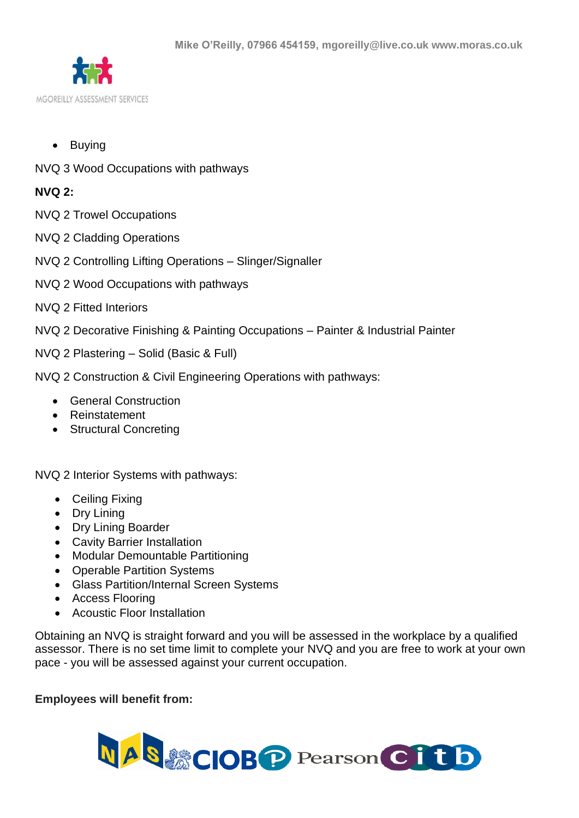

- Buying
- NVQ 3 Wood Occupations with pathways

# **NVQ 2:**

- NVQ 2 Trowel Occupations
- NVQ 2 Cladding Operations
- NVQ 2 Controlling Lifting Operations Slinger/Signaller
- NVQ 2 Wood Occupations with pathways
- NVQ 2 Fitted Interiors
- NVQ 2 Decorative Finishing & Painting Occupations Painter & Industrial Painter
- NVQ 2 Plastering Solid (Basic & Full)
- NVQ 2 Construction & Civil Engineering Operations with pathways:
	- General Construction
	- Reinstatement
	- Structural Concreting

NVQ 2 Interior Systems with pathways:

- Ceiling Fixing
- Dry Lining
- Dry Lining Boarder
- Cavity Barrier Installation
- Modular Demountable Partitioning
- Operable Partition Systems
- Glass Partition/Internal Screen Systems
- Access Flooring
- Acoustic Floor Installation

Obtaining an NVQ is straight forward and you will be assessed in the workplace by a qualified assessor. There is no set time limit to complete your NVQ and you are free to work at your own pace - you will be assessed against your current occupation.

# **Employees will benefit from:**